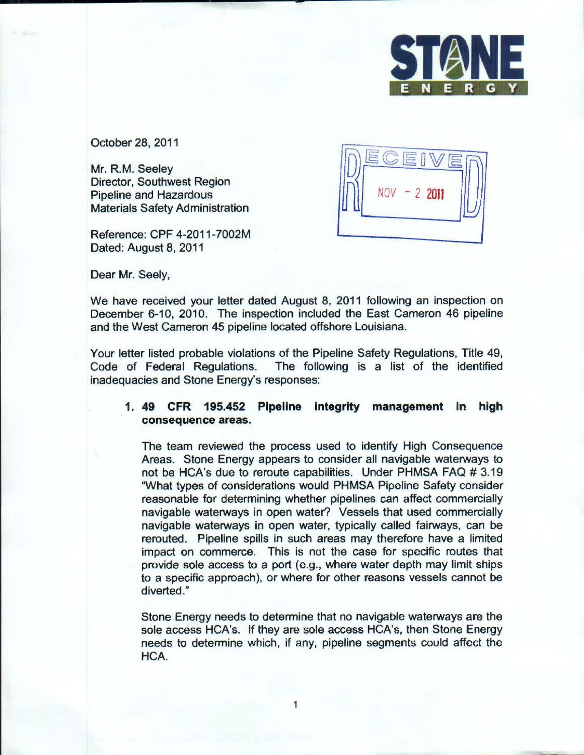

October 28, 2011

Mr. R.M. Seeley Director, Southwest Region Pipeline and Hazardous Materials Safety Administration

Reference: CPF 4-2011-7002M Dated: August 8, 2011

 $\frac{1}{2}$  $NOV - 22011$  $\vert \!\!\!\!\cup \rangle \vert$ -

Dear Mr. Seely,

We have received your letter dated August 8, 2011 following an inspection on December 6-10, 2010. The inspection included the East Cameron 46 pipeline and the West Cameron 45 pipeline located offshore Louisiana.

Your letter listed probable violations of the Pipeline Safety Regulations, Title 49, Code of Federal Regulations. The following is a list of the identified inadequacies and Stone Energy's responses:

## 1. 49 CFR 195.452 Pipeline integrity management in high consequence areas.

The team reviewed the process used to identify High Consequence Areas. Stone Energy appears to consider all navigable waterways to not be HCA's due to reroute capabilities. Under PHMSA FAQ # 3.19 "What types of considerations would PHMSA Pipeline Safety consider reasonable for determining whether pipelines can affect commercially navigable waterways in open water? Vessels that used commercially navigable waterways in open water, typically called fairways, can be rerouted. Pipeline spills in such areas may therefore have a limited impact on commerce. This is not the case for specific routes that provide sole access to a port (e.g., where water depth may limit ships to a specific approach), or where for other reasons vessels cannot be diverted."

Stone Energy needs to determine that no navigable waterways are the sole access HCA's. If they are sole access HCA's, then Stone Energy needs to determine which, if any, pipeline segments could affect the HCA.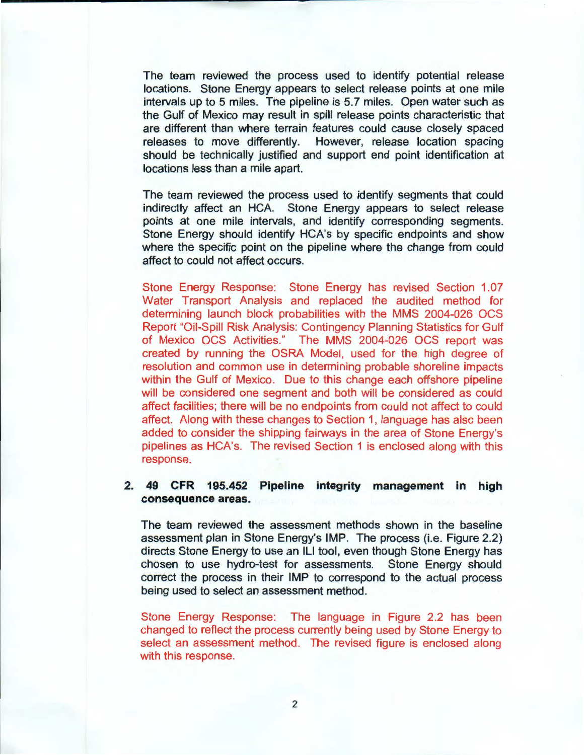The team reviewed the process used to identify potential release locations. Stone Energy appears to select release points at one mile intervals up to 5 miles. The pipeline is 5.7 miles. Open water such as the Gulf of Mexico may result in spill release points characteristic that are different than where terrain features could cause closely spaced releases to move differently. However, release location spacing should be technically justified and support end point identification at locations less than a mile apart.

The team reviewed the process used to identify segments that could indirectly affect an HCA. Stone Energy appears to select release points at one mile intervals, and identify corresponding segments. Stone Energy should identify HCA's by specific endpoints and show where the specific point on the pipeline where the change from could affect to could not affect occurs.

Stone Energy Response: Stone Energy has revised Section 1.07 Water Transport Analysis and replaced the audited method for determining launch block probabilities with the MMS 2004-026 OCS Report "Oil-Spill Risk Analysis: Contingency Planning Statistics for Gulf of Mexico OCS Activities." The MMS 2004-026 OCS report was created by running the OSRA Model, used for the high degree of resolution and common use in determining probable shoreline impacts within the Gulf of Mexico. Due to this change each offshore pipeline will be considered one segment and both will be considered as could affect facilities; there will be no endpoints from could not affect to could affect. Along with these changes to Section 1, language has also been added to consider the shipping fairways in the area of Stone Energy's pipelines as HCA's. The revised Section 1 is enclosed along with this response.

## **2. 49 CFR 195.452 Pipeline integrity management in high consequence areas.**

The team reviewed the assessment methods shown in the baseline assessment plan in Stone Energy's IMP. The process (i.e. Figure 2.2) directs Stone Energy to use an ILl tool, even though Stone Energy has chosen to use hydro-test for assessments. Stone Energy should correct the process in their IMP to correspond to the actual process being used to select an assessment method.

Stone Energy Response: The language in Figure 2.2 has been changed to reflect the process currently being used by Stone Energy to select an assessment method. The revised figure is enclosed along with this response.